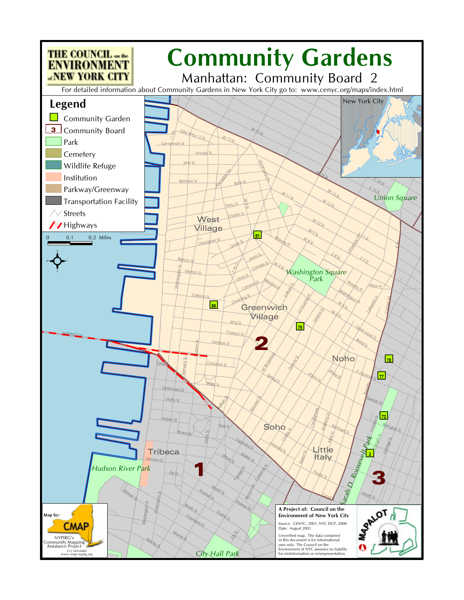